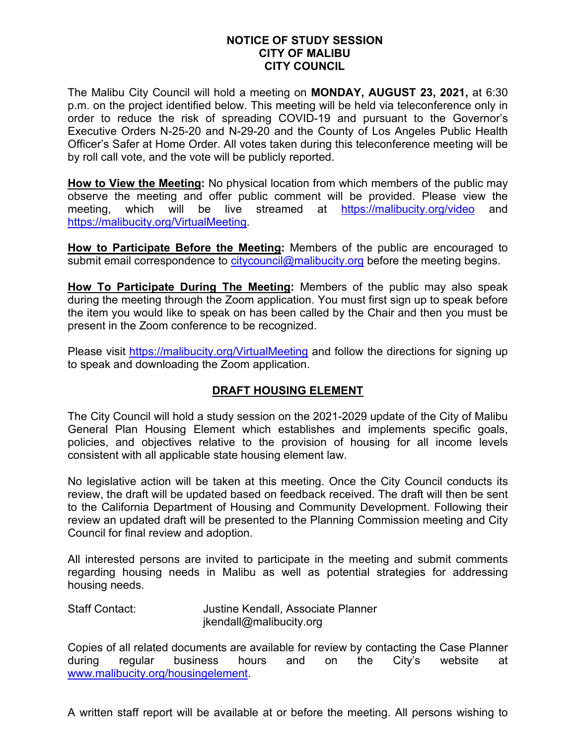## **NOTICE OF STUDY SESSION CITY OF MALIBU CITY COUNCIL**

The Malibu City Council will hold a meeting on **MONDAY, AUGUST 23, 2021,** at 6:30 p.m. on the project identified below. This meeting will be held via teleconference only in order to reduce the risk of spreading COVID-19 and pursuant to the Governor's Executive Orders N-25-20 and N-29-20 and the County of Los Angeles Public Health Officer's Safer at Home Order. All votes taken during this teleconference meeting will be by roll call vote, and the vote will be publicly reported.

**How to View the Meeting:** No physical location from which members of the public may observe the meeting and offer public comment will be provided. Please view the meeting, which will be live streamed at <https://malibucity.org/video> and [https://malibucity.org/VirtualMeeting.](https://malibucity.org/VirtualMeeting)

**How to Participate Before the Meeting:** Members of the public are encouraged to submit email correspondence to [citycouncil@malibucity.org](mailto:citycouncil@malibucity.org) before the meeting begins.

**How To Participate During The Meeting:** Members of the public may also speak during the meeting through the Zoom application. You must first sign up to speak before the item you would like to speak on has been called by the Chair and then you must be present in the Zoom conference to be recognized.

Please visit<https://malibucity.org/VirtualMeeting> and follow the directions for signing up to speak and downloading the Zoom application.

## **DRAFT HOUSING ELEMENT**

The City Council will hold a study session on the 2021-2029 update of the City of Malibu General Plan Housing Element which establishes and implements specific goals, policies, and objectives relative to the provision of housing for all income levels consistent with all applicable state housing element law.

No legislative action will be taken at this meeting. Once the City Council conducts its review, the draft will be updated based on feedback received. The draft will then be sent to the California Department of Housing and Community Development. Following their review an updated draft will be presented to the Planning Commission meeting and City Council for final review and adoption.

All interested persons are invited to participate in the meeting and submit comments regarding housing needs in Malibu as well as potential strategies for addressing housing needs.

Staff Contact: Justine Kendall, Associate Planner jkendall@malibucity.org

Copies of all related documents are available for review by contacting the Case Planner during regular business hours and on the City's website at [www.malibucity.org/housingelement.](http://www.malibucity.org/housingelement)

A written staff report will be available at or before the meeting. All persons wishing to